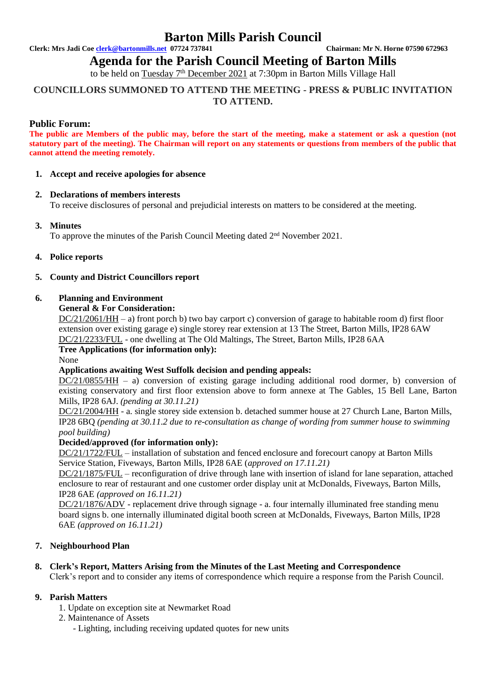# **Barton Mills Parish Council**

**Clerk: Mrs Jadi Coe [clerk@bartonmills.net](mailto:clerk@bartonmills.net) 07724 737841 Chairman: Mr N. Horne 07590 672963**

# **Agenda for the Parish Council Meeting of Barton Mills**

to be held on Tuesday 7<sup>th</sup> December 2021 at 7:30pm in Barton Mills Village Hall

# **COUNCILLORS SUMMONED TO ATTEND THE MEETING - PRESS & PUBLIC INVITATION TO ATTEND.**

# **Public Forum:**

**The public are Members of the public may, before the start of the meeting, make a statement or ask a question (not statutory part of the meeting). The Chairman will report on any statements or questions from members of the public that cannot attend the meeting remotely.**

#### **1. Accept and receive apologies for absence**

# **2. Declarations of members interests**

To receive disclosures of personal and prejudicial interests on matters to be considered at the meeting.

# **3. Minutes**

To approve the minutes of the Parish Council Meeting dated 2<sup>nd</sup> November 2021.

#### **4. Police reports**

#### **5. County and District Councillors report**

#### **6. Planning and Environment**

#### **General & For Consideration:**

DC/21/2061/HH – a) front porch b) two bay carport c) conversion of garage to habitable room d) first floor extension over existing garage e) single storey rear extension at 13 The Street, Barton Mills, IP28 6AW DC/21/2233/FUL - one dwelling at The Old Maltings, The Street, Barton Mills, IP28 6AA

# **Tree Applications (for information only):**

None

# **Applications awaiting West Suffolk decision and pending appeals:**

DC/21/0855/HH – a) conversion of existing garage including additional rood dormer, b) conversion of existing conservatory and first floor extension above to form annexe at The Gables, 15 Bell Lane, Barton Mills, IP28 6AJ. *(pending at 30.11.21)*

DC/21/2004/HH - a. single storey side extension b. detached summer house at 27 Church Lane, Barton Mills, IP28 6BQ *(pending at 30.11.2 due to re-consultation as change of wording from summer house to swimming pool building)*

# **Decided/approved (for information only):**

DC/21/1722/FUL – installation of substation and fenced enclosure and forecourt canopy at Barton Mills Service Station, Fiveways, Barton Mills, IP28 6AE (*approved on 17.11.21)*

DC/21/1875/FUL – reconfiguration of drive through lane with insertion of island for lane separation, attached enclosure to rear of restaurant and one customer order display unit at McDonalds, Fiveways, Barton Mills, IP28 6AE *(approved on 16.11.21)*

DC/21/1876/ADV - replacement drive through signage - a. four internally illuminated free standing menu board signs b. one internally illuminated digital booth screen at McDonalds, Fiveways, Barton Mills, IP28 6AE *(approved on 16.11.21)*

# **7. Neighbourhood Plan**

# **8. Clerk's Report, Matters Arising from the Minutes of the Last Meeting and Correspondence**

Clerk's report and to consider any items of correspondence which require a response from the Parish Council.

# **9. Parish Matters**

- 1. Update on exception site at Newmarket Road
- 2. Maintenance of Assets
	- Lighting, including receiving updated quotes for new units